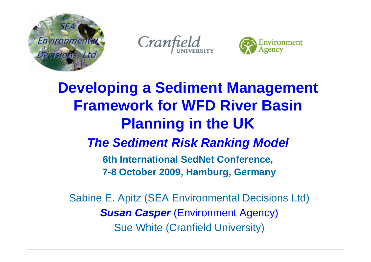

Cranfield



## **Developing a Sediment Management Framework for WFD River Basin Planning in the UK** *The Sediment Risk Ranking Model* **6th International SedNet Conference, 7-8 October 2009, Hamburg, Germany**

Sabine E. Apitz (SEA Environmental Decisions Ltd) *Susan Casper (Environment Agency)* Sue White (Cranfield University)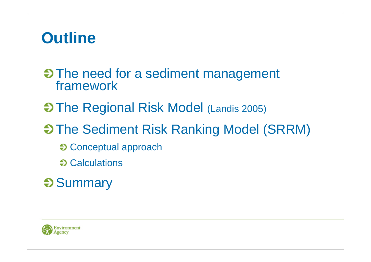# **Outline**

**S** The need for a sediment management framework

- $\Theta$  **The Regional Risk Model (Landis 2005)**
- $\Theta$  **The Sediment Risk Ranking Model (SRRM)** 
	- **€ Conceptual approach**
	- $\Theta$  Calculations
- **Summary**

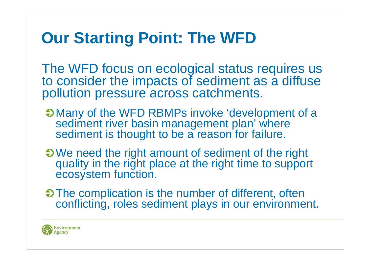# **Our Starting Point: The WFD**

The WFD focus on ecological status requires us to consider the impacts of sediment as a diffuse pollution pressure across catchments.

- Many of the WFD RBMPs invoke 'development of a sediment river basin management plan' where sediment is thought to be a reason for failure.
- We need the right amount of sediment of the right quality in the right place at the right time to support ecosystem function.
- The complication is the number of different, often conflicting, roles sediment plays in our environment.

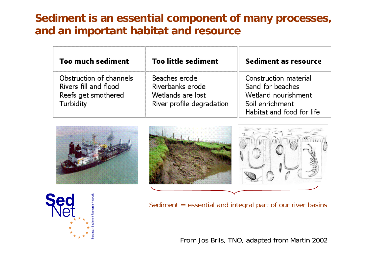#### **Sediment is an essential component of many processes, and an important habitat and resource**

| <b>Too much sediment</b>                                                                    | <b>Too little sediment</b>                                                          | Sediment as resource                                                                                             |  |  |
|---------------------------------------------------------------------------------------------|-------------------------------------------------------------------------------------|------------------------------------------------------------------------------------------------------------------|--|--|
| Obstruction of channels<br>Rivers fill and flood<br>Reefs get smothered<br><b>Turbidity</b> | Beaches erode<br>Riverbanks erode<br>Wetlands are lost<br>River profile degradation | Construction material<br>Sand for beaches<br>Wetland nourishment<br>Soil enrichment<br>Habitat and food for life |  |  |







Sediment = essential and integral part of our river basins

From Jos Brils, TNO, adapted from Martin 2002

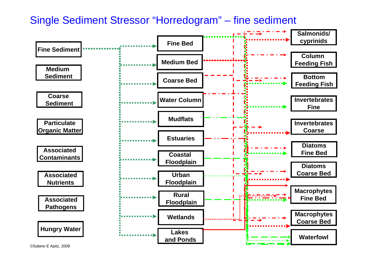Single Sediment Stressor "Horredogram" – fine sediment

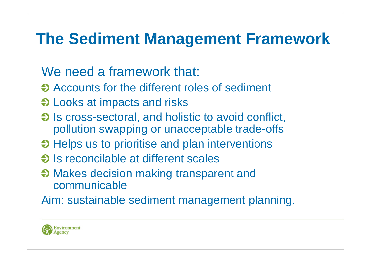# **The Sediment Management Framework**

### We need a framework that:

- **→ Accounts for the different roles of sediment**
- $\Theta$  **Looks at impacts and risks**
- $\bullet$  Is cross-sectoral, and holistic to avoid conflict, pollution swapping or unacceptable trade-offs
- $\Theta$  **Helps us to prioritise and plan interventions**
- $\Theta$  is reconcilable at different scales
- **→ Makes decision making transparent and** communicable
- Aim: sustainable sediment management planning.

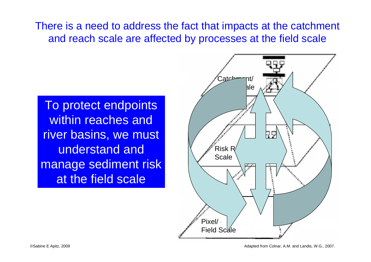There is a need to address the fact that impacts at the catchment and reach scale are affected by processes at the field scale

To protect endpoints within reaches and river basins, we must understand and manage sediment risk at the field scale

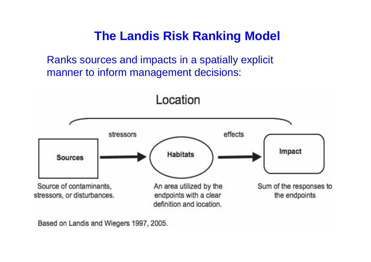### **The Landis Risk Ranking Model**

Ranks sources and impacts in a spatially explicit manner to inform management decisions:



Based on Landis and Wiegers 1997, 2005.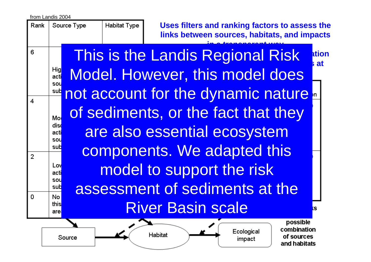from Landis 2004

Source Type Rank

Habitat Type

**Uses filters and ranking factors to assess the links between sources, habitats, and impacts** 

Ecological

impact

combination

of sources

and habitats

6 Hig acti SOL sub  $\boldsymbol{4}$ Mo diso acti SOL sub  $\overline{2}$ Lov acti sou sub  $\Omega$ **No** this

**in a transparent way** This is the Landis Regional Risk  $\,$   $\rm _{sat}^{\rm ttiot}$ **Andis Regional Risk ation many sites** Model. However, this model does not account for the dynamic nature. of sediments, or the fact that they are also essential ecosystem components. We adapted this model to support the risk assessment of sediments at the River Basin scale $\sim$ possible

**Habitat** 

Source

are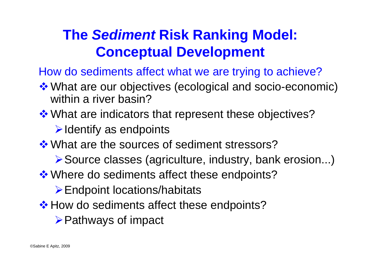## **The** *Sediment* **Risk Ranking Model: Conceptual Development**

How do sediments affect what we are trying to achieve?

- What are our objectives (ecological and socio-economic) within a river basin?
- ❖ What are indicators that represent these objectives?
	- $\triangleright$  Identify as endpoints
- **\*** What are the sources of sediment stressors?
	- ¾Source classes (agriculture, industry, bank erosion...)
- **\*** Where do sediments affect these endpoints?
	- ¾Endpoint locations/habitats
- ❖ How do sediments affect these endpoints?
	- **≻Pathways of impact**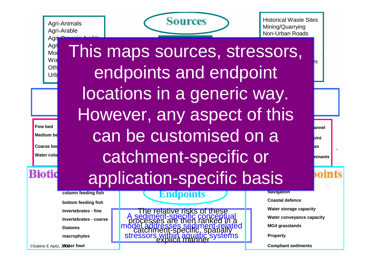Agri-Animals Agri-Arable Agr

 $Mod$ 

Oth  $Urbl$ 



Historical Waste SitesMining/Quarrying Non-Urban Roads

**Medium Sediment**  $M$ **Coarse Sediment Hungry Water** *Contaminants Nutrients Pathogens*  **Particulate Property (Sediment-Related) Endpoint Locations Urban Floodplains Salphonidischer Group Estuaries Coastal floodplain Rural floodplain** can be customised on a **River channel** e.<br>Agr<mark>i-Organic animals and animals and animals and animals and animals and animals and animals and animals and a</mark> However, any aspect of this application-specific basis Wo**odland Forest** This maps sources, stressors, In-Channel Structures (<mark>)</mark>S Bank Erosionendpoints and endpoint locations in a generic way. catchment-specific or

> A sediment-specific conceptual model addresses sediment-related

processes are then ranked in a

catchment-specific, spatially

explicit manner

relative risks of these

**Endpoints**

stressors

**Navigation Coastal defenceWater storage capacity Water conveyance capacity MG4 grasslands Property**

annel

**bint** 

**as** 

**hinants** 

**Compliant sediments**

**Medium be Coarse bed**

**Fine bed**

**Water colu** 

Bioti

**column feeding fish**

**bottom feeding fish**

**Invertebrates - fine**

**Invertebrates - coarse**

**Diatoms**

**macrophytes**

©Sabine E Apitz, 2009 **Water fowl**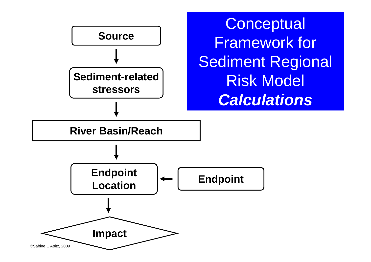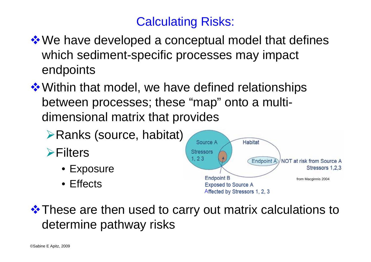### Calculating Risks:

- **\*** We have developed a conceptual model that defines which sediment-specific processes may impact endpoints
- **❖ Within that model, we have defined relationships** between processes; these "map" onto a multidimensional matrix that provides
	- ¾Ranks (source, habitat)
	- <del></del> ≻Filters
		- Exposure
		- Effects



**\*** These are then used to carry out matrix calculations to determine pathway risks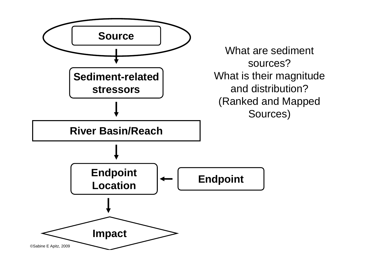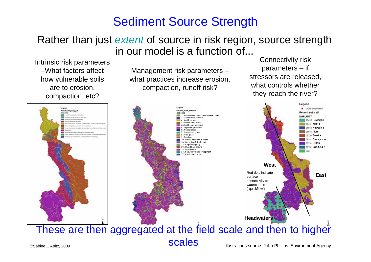#### Sediment Source Strength

#### Rather than just *extent* of source in risk region, source strength in our model is a function of...

Intrinsic risk parameters –What factors affect how vulnerable soils are to erosion, compaction, etc?

Management risk parameters – what practices increase erosion, compaction, runoff risk?

Connectivity risk parameters – if stressors are released, what controls whether they reach the river?



Illustrations source: John Phillips, Environment Agency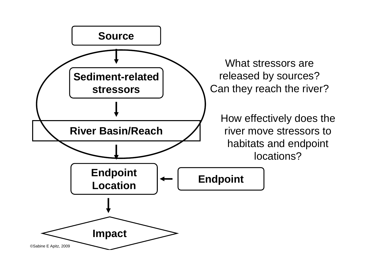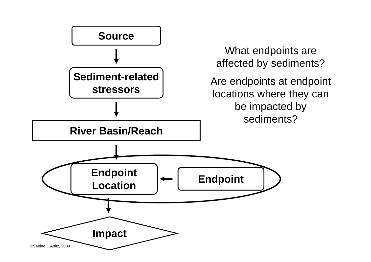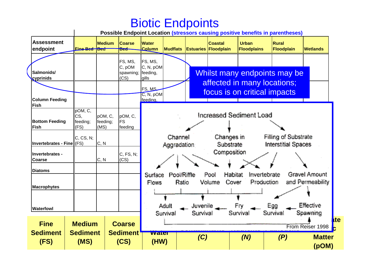#### Biotic Endpoints

**Possible Endpoint Location (stressors causing positive benefits in parentheses)**

| <b>Assessment</b><br>endpoint    | Eine Bed HBed              | <b>Medium</b>       | <b>Coarse</b><br><b>Bed</b> | <b>Water</b><br><b>Column</b>  | <b>Mudflats</b>        | <b>Estuaries</b> | <b>Coastal</b><br>Floodplain | <b>Urban</b><br><b>Floodplains</b> | <b>Rural</b><br>Floodplain                                  | <b>Wetlands</b>                            |
|----------------------------------|----------------------------|---------------------|-----------------------------|--------------------------------|------------------------|------------------|------------------------------|------------------------------------|-------------------------------------------------------------|--------------------------------------------|
|                                  |                            |                     | FS, MS,                     | FS, MS,                        |                        |                  |                              |                                    |                                                             |                                            |
| Salmonids/<br>cyprinids          |                            |                     | C, pOM<br>spawning;<br>(CS) | C, N, pOM<br>feeding,<br>qills |                        |                  |                              |                                    | Whilst many endpoints may be                                |                                            |
|                                  |                            |                     |                             | FS, MS<br>C, N, pOM            |                        |                  |                              |                                    | affected in many locations;<br>focus is on critical impacts |                                            |
| <b>Column Feeding</b><br>Fish    |                            |                     |                             | feeding.                       |                        |                  |                              |                                    |                                                             |                                            |
| <b>Bottom Feeding</b>            | pOM, C,<br>CS,<br>feeding; | pOM, C,<br>feeding; | pOM, C,<br><b>FS</b>        | Increased Sediment Load        |                        |                  |                              |                                    |                                                             |                                            |
| <b>Fish</b>                      | (FS)                       | (MS)                | feeding                     |                                |                        |                  |                              |                                    |                                                             |                                            |
| Invertebrates - Fine (FS)        | C, CS, N;                  | C, N                |                             |                                | Channel<br>Aggradation |                  | Changes in<br>Substrate      |                                    | Filling of Substrate<br><b>Interstitial Spaces</b>          |                                            |
| Invertebrates -<br><b>Coarse</b> |                            | C, N                | C, FS, N;<br>(CS)           |                                |                        |                  | Composition                  |                                    |                                                             |                                            |
| <b>Diatoms</b>                   |                            |                     |                             |                                | Pool/Riffle            |                  | Pool                         | Habitat                            | Invertebrate                                                | Gravel Amount                              |
| <b>Macrophytes</b>               |                            |                     |                             | Surface<br>Flows               | Ratio                  |                  | Volume                       | Cover                              | Production                                                  | and Permeability                           |
| <b>Waterfowl</b>                 |                            |                     |                             |                                | Adult                  | Juvenile         |                              | Fry                                | Egg                                                         | Effective                                  |
| <b>Fine</b>                      | <b>Medium</b>              |                     | <b>Coarse</b>               |                                | Survival               | Survival         |                              | Survival                           | Survival                                                    | Spawning<br><b>Ite</b><br>From Reiser 1998 |
| <b>Sediment</b><br>(FS)          | <b>Sediment</b><br>(MS)    |                     | <b>Sediment</b><br>(CS)     | <b>water</b><br>(HW)           |                        | (C)              |                              | (N)                                | (P)                                                         | <b>Matter</b><br>(pOM)                     |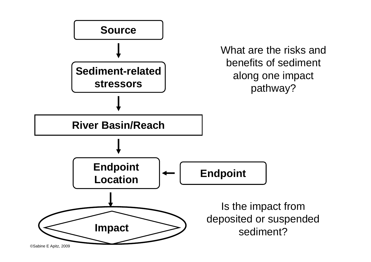

<sup>©</sup>Sabine E Apitz, 2009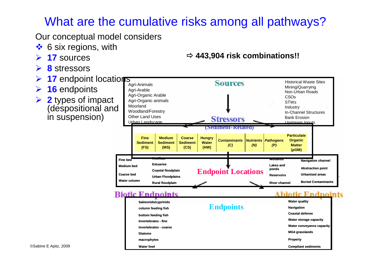### What are the cumulative risks among all pathways?

**Diatoms**

Our conceptual model considers

- ❖ 6 six regions, with
- ¾**17** sources
- ¾**8** stressors
- ¾**17** endpoint locations
- $\blacktriangleright$ **16** endpoints
- ¾ **2** types of impact (despositional and in suspension)



Ö **443,904 risk combinations!!**

**Water fowlmacrophytes Invertebrates - coarseInvertebrates - finebottom feeding fish Compliant sediments Property MG4 grasslands Water conveyance capacity Water storage capacity Coastal defenseNavigation Endpoints**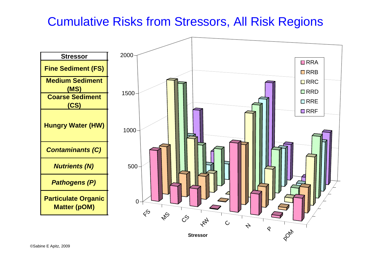#### Cumulative Risks from Stressors, All Risk Regions



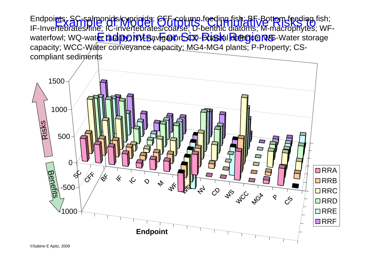Endpoi**nts: SC-salmonids/cyprinids; CFF-column feeding fish; BF-Bottom feeding fish;**<br>IF-Inve**rteh atastring: IC-invertehrates/coalse; D-benthic diatoms; M-machonidas;** WF waterfowl; WQ-water **qualiby; NV-savigationSCR-Boastal defence MS-**Water storage IF-Invertebrates/fine; IC-invertebrates/coarse; D-benthic diatoms; M-macrophytes; WFcapacity; WCC-Water conveyance capacity; MG4-MG4 plants; P-Property; CScompliant sediments

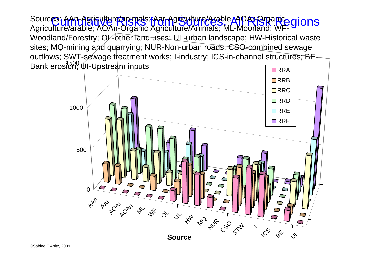Sources: AAn-Agriculture/animals; Aar-Agriculture/Arable; AOAr-Organice gions<br>Agriculture/arable; AZAr-Organic Agriculture/Animals; ML Moorland; WE-Gions Bank erosion, UI-Upstream inputs Agriculture/arable; AOAn-Organic Agriculture/Animals; ML-Moorland; WF-Woodland/Forestry; OL-other land uses; UL-urban landscape; HW-Historical waste sites; MQ-mining and quarrying; NUR-Non-urban roads; CSO-combined sewage outflows; SWT-sewage treatment works; I-industry; ICS-in-channel structures; BE-

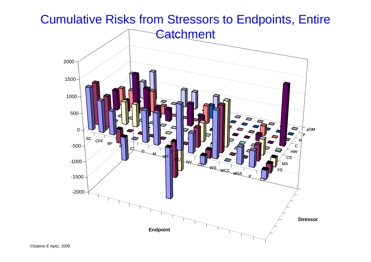Cumulative Risks from Stressors to Endpoints, Entire

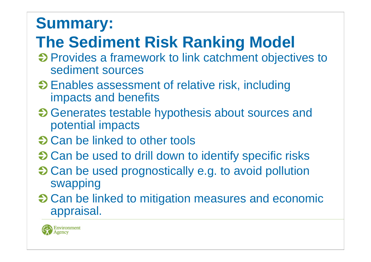# **Summary:**

# **The Sediment Risk Ranking Model**

- $\Theta$  Provides a framework to link catchment objectives to sediment sources
- **→ Enables assessment of relative risk, including** impacts and benefits
- $\Theta$  Generates testable hypothesis about sources and potential impacts
- **→ Can be linked to other tools**
- $\bullet$  Can be used to drill down to identify specific risks
- $\bullet$  Can be used prognostically e.g. to avoid pollution swapping
- $\Theta$  **Can be linked to mitigation measures and economic** appraisal.